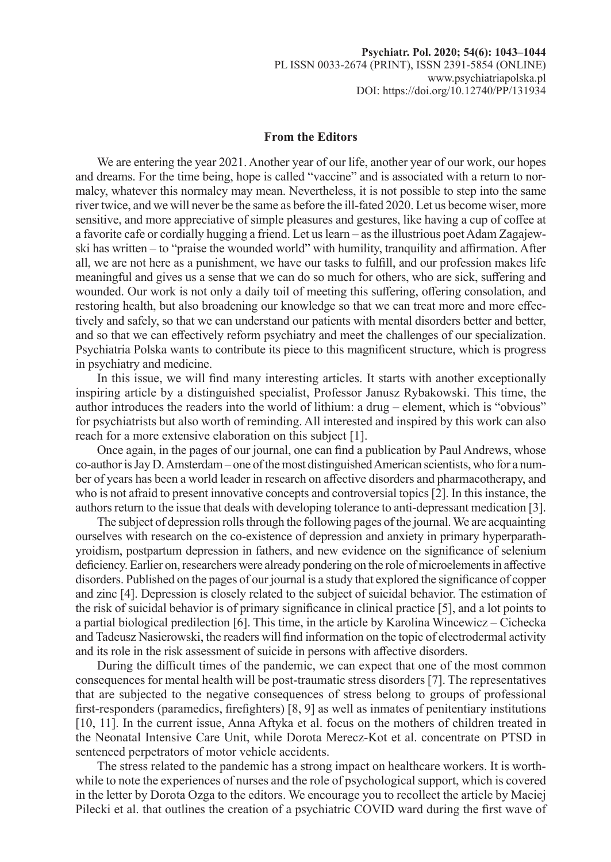## **From the Editors**

We are entering the year 2021. Another year of our life, another year of our work, our hopes and dreams. For the time being, hope is called "vaccine" and is associated with a return to normalcy, whatever this normalcy may mean. Nevertheless, it is not possible to step into the same river twice, and we will never be the same as before the ill-fated 2020. Let us become wiser, more sensitive, and more appreciative of simple pleasures and gestures, like having a cup of coffee at a favorite cafe or cordially hugging a friend. Let us learn – as the illustrious poet Adam Zagajewski has written – to "praise the wounded world" with humility, tranquility and affirmation. After all, we are not here as a punishment, we have our tasks to fulfill, and our profession makes life meaningful and gives us a sense that we can do so much for others, who are sick, suffering and wounded. Our work is not only a daily toil of meeting this suffering, offering consolation, and restoring health, but also broadening our knowledge so that we can treat more and more effectively and safely, so that we can understand our patients with mental disorders better and better, and so that we can effectively reform psychiatry and meet the challenges of our specialization. Psychiatria Polska wants to contribute its piece to this magnificent structure, which is progress in psychiatry and medicine.

In this issue, we will find many interesting articles. It starts with another exceptionally inspiring article by a distinguished specialist, Professor Janusz Rybakowski. This time, the author introduces the readers into the world of lithium: a drug – element, which is "obvious" for psychiatrists but also worth of reminding. All interested and inspired by this work can also reach for a more extensive elaboration on this subject [1].

Once again, in the pages of our journal, one can find a publication by Paul Andrews, whose co-author is Jay D. Amsterdam – one of the most distinguished American scientists, who for a number of years has been a world leader in research on affective disorders and pharmacotherapy, and who is not afraid to present innovative concepts and controversial topics [2]. In this instance, the authors return to the issue that deals with developing tolerance to anti-depressant medication [3].

The subject of depression rolls through the following pages of the journal. We are acquainting ourselves with research on the co-existence of depression and anxiety in primary hyperparathyroidism, postpartum depression in fathers, and new evidence on the significance of selenium deficiency. Earlier on, researchers were already pondering on the role of microelements in affective disorders. Published on the pages of our journal is a study that explored the significance of copper and zinc [4]. Depression is closely related to the subject of suicidal behavior. The estimation of the risk of suicidal behavior is of primary significance in clinical practice [5], and a lot points to a partial biological predilection [6]. This time, in the article by Karolina Wincewicz – Cichecka and Tadeusz Nasierowski, the readers will find information on the topic of electrodermal activity and its role in the risk assessment of suicide in persons with affective disorders.

During the difficult times of the pandemic, we can expect that one of the most common consequences for mental health will be post-traumatic stress disorders [7]. The representatives that are subjected to the negative consequences of stress belong to groups of professional first-responders (paramedics, firefighters) [8, 9] as well as inmates of penitentiary institutions [10, 11]. In the current issue, Anna Aftyka et al. focus on the mothers of children treated in the Neonatal Intensive Care Unit, while Dorota Merecz-Kot et al. concentrate on PTSD in sentenced perpetrators of motor vehicle accidents.

The stress related to the pandemic has a strong impact on healthcare workers. It is worthwhile to note the experiences of nurses and the role of psychological support, which is covered in the letter by Dorota Ozga to the editors. We encourage you to recollect the article by Maciej Pilecki et al. that outlines the creation of a psychiatric COVID ward during the first wave of